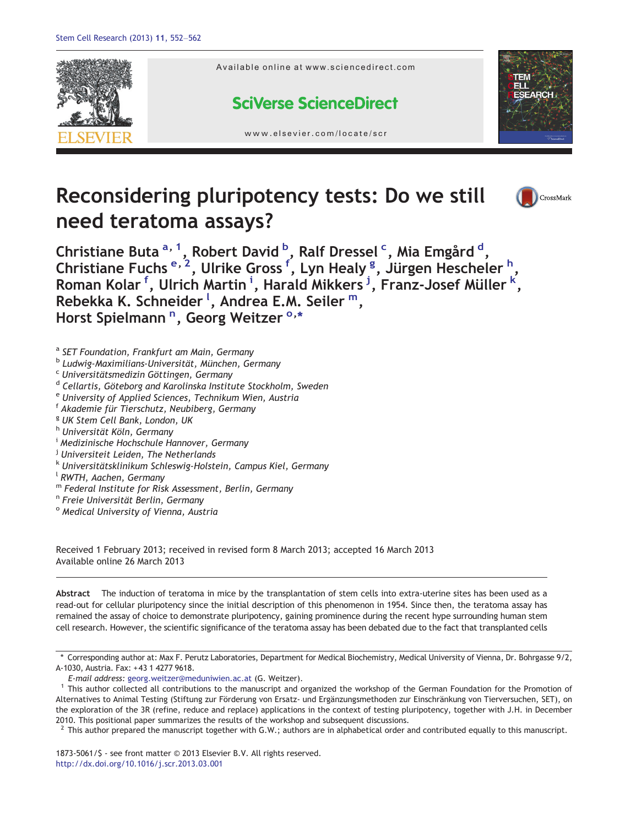

# Reconsidering pluripotency tests: Do we still need teratoma assays?



Christiane Buta <sup>a, 1</sup>, Robert David <sup>b</sup>, Ralf Dressel <sup>c</sup>, Mia Emgård <sup>d</sup>, Christiane Fuchs <sup>e, 2</sup>, Ulrike Gross <sup>f</sup>, Lyn Healy <sup>g</sup>, Jürgen Hescheler <sup>h</sup>, Roman Kolar <sup>f</sup>, Ulrich Martin <sup>i</sup>, Harald Mikkers <sup>j</sup>, Franz-Josef Müller <sup>k</sup>, Rebekka K. Schneider <sup>I</sup>, Andrea E.M. Seiler <sup>m</sup>, Horst Spielmann<sup>n</sup>, Georg Weitzer<sup>o,\*</sup>

<sup>a</sup> SET Foundation, Frankfurt am Main, Germany

- <sup>b</sup> Ludwig-Maximilians-Universität, München, Germany
- <sup>c</sup> Universitätsmedizin Göttingen, Germany
- <sup>d</sup> Cellartis, Göteborg and Karolinska Institute Stockholm, Sweden
- <sup>e</sup> University of Applied Sciences, Technikum Wien, Austria
- <sup>f</sup> Akademie für Tierschutz, Neubiberg, Germany
- <sup>g</sup> UK Stem Cell Bank, London, UK
- <sup>h</sup> Universität Köln, Germany
- <sup>i</sup> Medizinische Hochschule Hannover, Germany
- <sup>j</sup> Universiteit Leiden, The Netherlands
- <sup>k</sup> Universitätsklinikum Schleswig-Holstein, Campus Kiel, Germany
- <sup>l</sup> RWTH, Aachen, Germany
- m Federal Institute for Risk Assessment, Berlin, Germany<br><sup>n</sup> Freie Universität Berlin, Germany
- 
- <sup>o</sup> Medical University of Vienna, Austria

Received 1 February 2013; received in revised form 8 March 2013; accepted 16 March 2013 Available online 26 March 2013

Abstract The induction of teratoma in mice by the transplantation of stem cells into extra-uterine sites has been used as a read-out for cellular pluripotency since the initial description of this phenomenon in 1954. Since then, the teratoma assay has remained the assay of choice to demonstrate pluripotency, gaining prominence during the recent hype surrounding human stem cell research. However, the scientific significance of the teratoma assay has been debated due to the fact that transplanted cells

<sup>⁎</sup> Corresponding author at: Max F. Perutz Laboratories, Department for Medical Biochemistry, Medical University of Vienna, Dr. Bohrgasse 9/2, A-1030, Austria. Fax: +43 1 4277 9618.

E-mail address: [georg.weitzer@meduniwien.ac.at](mailto:georg.weitzer@meduniwien.ac.at) (G. Weitzer).<br>This author collected all contributions to the manuscript and organized the workshop of the German Foundation for the Promotion of Alternatives to Animal Testing (Stiftung zur Förderung von Ersatz- und Ergänzungsmethoden zur Einschränkung von Tierversuchen, SET), on the exploration of the 3R (refine, reduce and replace) applications in the context of testing pluripotency, together with J.H. in December 2010. This positional paper summarizes the results of the workshop and subsequent discussions.

 $2$  This author prepared the manuscript together with G.W.; authors are in alphabetical order and contributed equally to this manuscript.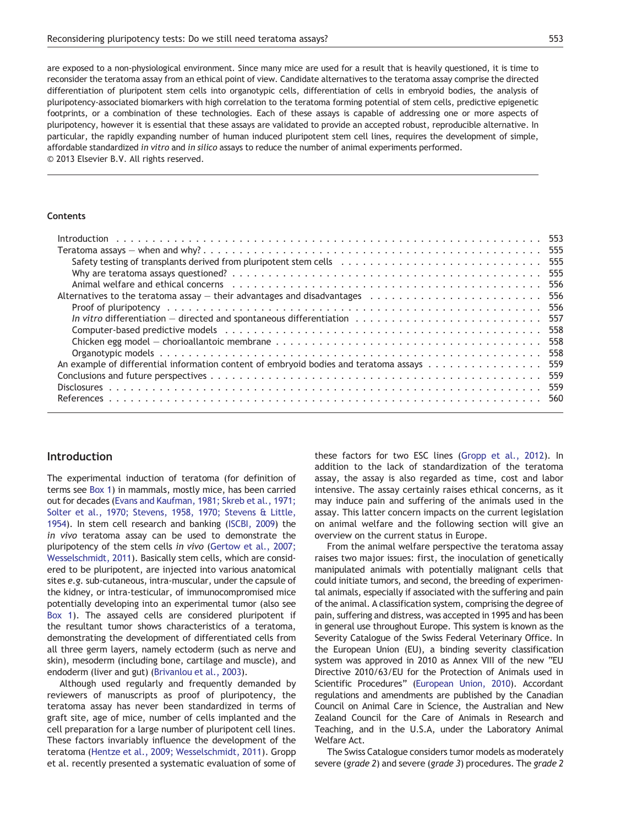#### **Contents**

| Reconsidering pluripotency tests: Do we still need teratoma assays?                                                                                                                                                                                                                                                                                                                                                                                                                                                                                                                                                                                                                                                                                                                                                                                                                                                                                                                                                                                                                                |                                                                           |  |
|----------------------------------------------------------------------------------------------------------------------------------------------------------------------------------------------------------------------------------------------------------------------------------------------------------------------------------------------------------------------------------------------------------------------------------------------------------------------------------------------------------------------------------------------------------------------------------------------------------------------------------------------------------------------------------------------------------------------------------------------------------------------------------------------------------------------------------------------------------------------------------------------------------------------------------------------------------------------------------------------------------------------------------------------------------------------------------------------------|---------------------------------------------------------------------------|--|
| are exposed to a non-physiological environment. Since many mice are used for a result that is heavily questioned, it is time to<br>reconsider the teratoma assay from an ethical point of view. Candidate alternatives to the teratoma assay comprise the directed<br>differentiation of pluripotent stem cells into organotypic cells, differentiation of cells in embryoid bodies, the analysis of<br>pluripotency-associated biomarkers with high correlation to the teratoma forming potential of stem cells, predictive epigenetic<br>footprints, or a combination of these technologies. Each of these assays is capable of addressing one or more aspects of<br>pluripotency, however it is essential that these assays are validated to provide an accepted robust, reproducible alternative. In<br>particular, the rapidly expanding number of human induced pluripotent stem cell lines, requires the development of simple,<br>affordable standardized in vitro and in silico assays to reduce the number of animal experiments performed.<br>© 2013 Elsevier B.V. All rights reserved. |                                                                           |  |
| <b>Contents</b><br>In vitro differentiation – directed and spontaneous differentiation $\dots\dots\dots\dots\dots\dots\dots\dots\dots\dots\dots$<br>An example of differential information content of embryoid bodies and teratoma assays 559                                                                                                                                                                                                                                                                                                                                                                                                                                                                                                                                                                                                                                                                                                                                                                                                                                                      | 555<br>555<br>556<br>556<br>557<br>558<br>558<br>558<br>559<br>559<br>560 |  |

## Introduction

The experimental induction of teratoma (for definition of terms see [Box 1](#page-2-0)) in mammals, mostly mice, has been carried out for decades [\(Evans and Kaufman, 1981; Skreb et al., 1971;](#page-9-0) [Solter et al., 1970; Stevens, 1958, 1970; Stevens & Little,](#page-9-0) [1954\)](#page-9-0). In stem cell research and banking ([ISCBI, 2009](#page-9-0)) the in vivo teratoma assay can be used to demonstrate the pluripotency of the stem cells in vivo [\(Gertow et al., 2007;](#page-9-0) [Wesselschmidt, 2011](#page-9-0)). Basically stem cells, which are considered to be pluripotent, are injected into various anatomical sites e.g. sub-cutaneous, intra-muscular, under the capsule of the kidney, or intra-testicular, of immunocompromised mice potentially developing into an experimental tumor (also see [Box 1\)](#page-2-0). The assayed cells are considered pluripotent if the resultant tumor shows characteristics of a teratoma, demonstrating the development of differentiated cells from all three germ layers, namely ectoderm (such as nerve and skin), mesoderm (including bone, cartilage and muscle), and endoderm (liver and gut) [\(Brivanlou et al., 2003\)](#page-9-0).

Although used regularly and frequently demanded by reviewers of manuscripts as proof of pluripotency, the teratoma assay has never been standardized in terms of graft site, age of mice, number of cells implanted and the cell preparation for a large number of pluripotent cell lines. These factors invariably influence the development of the teratoma ([Hentze et al., 2009; Wesselschmidt, 2011\)](#page-9-0). Gropp et al. recently presented a systematic evaluation of some of these factors for two ESC lines [\(Gropp et al., 2012\)](#page-9-0). In addition to the lack of standardization of the teratoma assay, the assay is also regarded as time, cost and labor intensive. The assay certainly raises ethical concerns, as it may induce pain and suffering of the animals used in the assay. This latter concern impacts on the current legislation on animal welfare and the following section will give an overview on the current status in Europe.

From the animal welfare perspective the teratoma assay raises two major issues: first, the inoculation of genetically manipulated animals with potentially malignant cells that could initiate tumors, and second, the breeding of experimental animals, especially if associated with the suffering and pain of the animal. A classification system, comprising the degree of pain, suffering and distress, was accepted in 1995 and has been in general use throughout Europe. This system is known as the Severity Catalogue of the Swiss Federal Veterinary Office. In the European Union (EU), a binding severity classification system was approved in 2010 as Annex VIII of the new "EU Directive 2010/63/EU for the Protection of Animals used in Scientific Procedures" ([European Union, 2010](#page-9-0)). Accordant regulations and amendments are published by the Canadian Council on Animal Care in Science, the Australian and New Zealand Council for the Care of Animals in Research and Teaching, and in the U.S.A, under the Laboratory Animal Welfare Act.

The Swiss Catalogue considers tumor models as moderately severe (grade 2) and severe (grade 3) procedures. The grade 2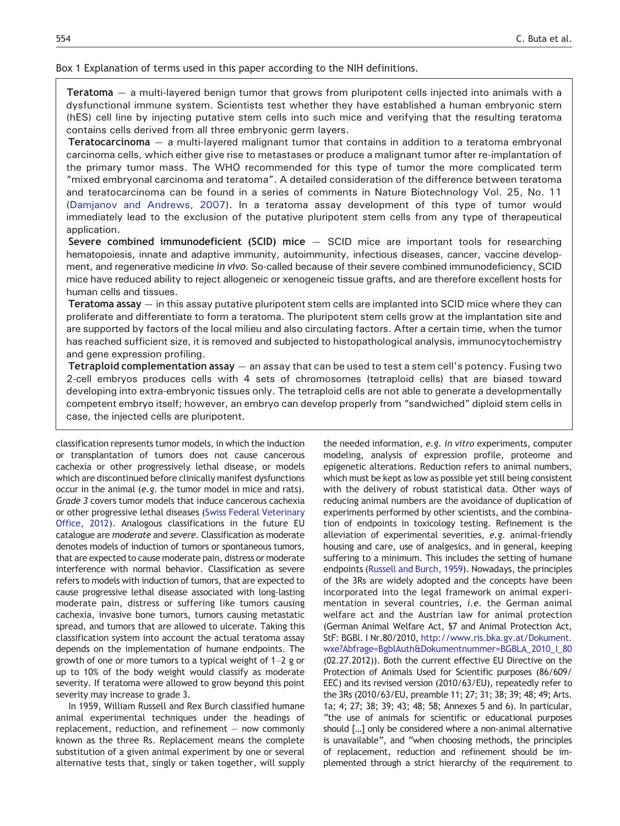<span id="page-2-0"></span>Box 1 Explanation of terms used in this paper according to the NIH definitions.

Teratoma — a multi-layered benign tumor that grows from pluripotent cells injected into animals with a dysfunctional immune system. Scientists test whether they have established a human embryonic stem (hES) cell line by injecting putative stem cells into such mice and verifying that the resulting teratoma contains cells derived from all three embryonic germ layers.

Teratocarcinoma — a multi-layered malignant tumor that contains in addition to a teratoma embryonal carcinoma cells, which either give rise to metastases or produce a malignant tumor after re-implantation of the primary tumor mass. The WHO recommended for this type of tumor the more complicated term "mixed embryonal carcinoma and teratoma". A detailed consideration of the difference between teratoma and teratocarcinoma can be found in a series of comments in Nature Biotechnology Vol. 25, No. 11 [\(Damjanov and Andrews, 2007\)](#page-9-0). In a teratoma assay development of this type of tumor would immediately lead to the exclusion of the putative pluripotent stem cells from any type of therapeutical application.

Severe combined immunodeficient (SCID) mice - SCID mice are important tools for researching hematopoiesis, innate and adaptive immunity, autoimmunity, infectious diseases, cancer, vaccine development, and regenerative medicine in vivo. So-called because of their severe combined immunodeficiency, SCID mice have reduced ability to reject allogeneic or xenogeneic tissue grafts, and are therefore excellent hosts for human cells and tissues.

Teratoma assay — in this assay putative pluripotent stem cells are implanted into SCID mice where they can proliferate and differentiate to form a teratoma. The pluripotent stem cells grow at the implantation site and are supported by factors of the local milieu and also circulating factors. After a certain time, when the tumor has reached sufficient size, it is removed and subjected to histopathological analysis, immunocytochemistry and gene expression profiling.

Tetraploid complementation assay — an assay that can be used to test a stem cell's potency. Fusing two 2-cell embryos produces cells with 4 sets of chromosomes (tetraploid cells) that are biased toward developing into extra-embryonic tissues only. The tetraploid cells are not able to generate a developmentally competent embryo itself; however, an embryo can develop properly from "sandwiched" diploid stem cells in case, the injected cells are pluripotent.

classification represents tumor models, in which the induction or transplantation of tumors does not cause cancerous cachexia or other progressively lethal disease, or models which are discontinued before clinically manifest dysfunctions occur in the animal (e.g. the tumor model in mice and rats). Grade 3 covers tumor models that induce cancerous cachexia or other progressive lethal diseases [\(Swiss Federal Veterinary](#page-10-0) [Office, 2012\)](#page-10-0). Analogous classifications in the future EU catalogue are moderate and severe. Classification as moderate denotes models of induction of tumors or spontaneous tumors, that are expected to cause moderate pain, distress or moderate interference with normal behavior. Classification as severe refers to models with induction of tumors, that are expected to cause progressive lethal disease associated with long-lasting moderate pain, distress or suffering like tumors causing cachexia, invasive bone tumors, tumors causing metastatic spread, and tumors that are allowed to ulcerate. Taking this classification system into account the actual teratoma assay depends on the implementation of humane endpoints. The growth of one or more tumors to a typical weight of 1–2 g or up to 10% of the body weight would classify as moderate severity. If teratoma were allowed to grow beyond this point severity may increase to grade 3.

In 1959, William Russell and Rex Burch classified humane animal experimental techniques under the headings of replacement, reduction, and refinement  $-$  now commonly known as the three Rs. Replacement means the complete substitution of a given animal experiment by one or several alternative tests that, singly or taken together, will supply

the needed information, e.g. in vitro experiments, computer modeling, analysis of expression profile, proteome and epigenetic alterations. Reduction refers to animal numbers, which must be kept as low as possible yet still being consistent with the delivery of robust statistical data. Other ways of reducing animal numbers are the avoidance of duplication of experiments performed by other scientists, and the combination of endpoints in toxicology testing. Refinement is the alleviation of experimental severities, e.g. animal-friendly housing and care, use of analgesics, and in general, keeping suffering to a minimum. This includes the setting of humane endpoints [\(Russell and Burch, 1959\)](#page-10-0). Nowadays, the principles of the 3Rs are widely adopted and the concepts have been incorporated into the legal framework on animal experimentation in several countries, i.e. the German animal welfare act and the Austrian law for animal protection (German Animal Welfare Act, §7 and Animal Protection Act, StF: BGBl. I Nr.80/2010, [http://www.ris.bka.gv.at/Dokument.](http://www.ris.bka.gv.at/Dokument.wxe?Abfrage=BgblAuth&Dokumentnummer=BGBLA_2010_I_80) [wxe?Abfrage=BgblAuth&Dokumentnummer=BGBLA\\_2010\\_I\\_80](http://www.ris.bka.gv.at/Dokument.wxe?Abfrage=BgblAuth&Dokumentnummer=BGBLA_2010_I_80) (02.27.2012)). Both the current effective EU Directive on the Protection of Animals Used for Scientific purposes (86/609/ EEC) and its revised version (2010/63/EU), repeatedly refer to the 3Rs (2010/63/EU, preamble 11; 27; 31; 38; 39; 48; 49; Arts. 1a; 4; 27; 38; 39; 43; 48; 58; Annexes 5 and 6). In particular, "the use of animals for scientific or educational purposes should […] only be considered where a non-animal alternative is unavailable", and "when choosing methods, the principles of replacement, reduction and refinement should be implemented through a strict hierarchy of the requirement to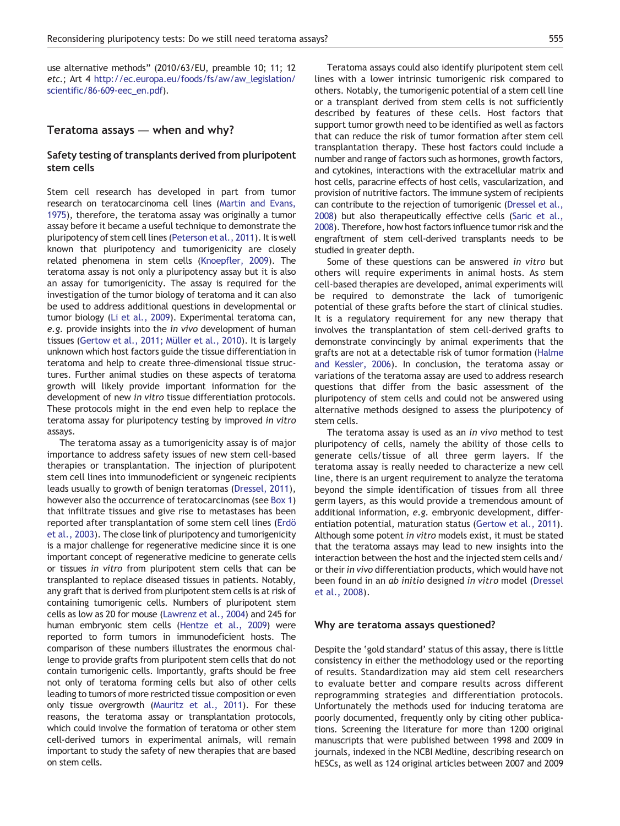use alternative methods" (2010/63/EU, preamble 10; 11; 12 etc.; Art 4 [http://ec.europa.eu/foods/fs/aw/aw\\_legislation/](http://ec.europa.eu/foods/fs/aw/aw_legislation/scientific/86-609-eec_en.pdf) [scientific/86-609-eec\\_en.pdf](http://ec.europa.eu/foods/fs/aw/aw_legislation/scientific/86-609-eec_en.pdf)).

## Teratoma assays — when and why?

## Safety testing of transplants derived from pluripotent stem cells

Stem cell research has developed in part from tumor research on teratocarcinoma cell lines [\(Martin and Evans,](#page-10-0) [1975\)](#page-10-0), therefore, the teratoma assay was originally a tumor assay before it became a useful technique to demonstrate the pluripotency of stem cell lines [\(Peterson et al., 2011\)](#page-10-0). It is well known that pluripotency and tumorigenicity are closely related phenomena in stem cells [\(Knoepfler, 2009\)](#page-9-0). The teratoma assay is not only a pluripotency assay but it is also an assay for tumorigenicity. The assay is required for the investigation of the tumor biology of teratoma and it can also be used to address additional questions in developmental or tumor biology ([Li et al., 2009](#page-10-0)). Experimental teratoma can, e.g. provide insights into the in vivo development of human tissues [\(Gertow et al., 2011; Müller et al., 2010\)](#page-9-0). It is largely unknown which host factors guide the tissue differentiation in teratoma and help to create three-dimensional tissue structures. Further animal studies on these aspects of teratoma growth will likely provide important information for the development of new in vitro tissue differentiation protocols. These protocols might in the end even help to replace the teratoma assay for pluripotency testing by improved in vitro assays.

The teratoma assay as a tumorigenicity assay is of major importance to address safety issues of new stem cell-based therapies or transplantation. The injection of pluripotent stem cell lines into immunodeficient or syngeneic recipients leads usually to growth of benign teratomas [\(Dressel, 2011\)](#page-9-0), however also the occurrence of teratocarcinomas (see [Box 1](#page-2-0)) that infiltrate tissues and give rise to metastases has been reported after transplantation of some stem cell lines ([Erdö](#page-9-0) [et al., 2003\)](#page-9-0). The close link of pluripotency and tumorigenicity is a major challenge for regenerative medicine since it is one important concept of regenerative medicine to generate cells or tissues in vitro from pluripotent stem cells that can be transplanted to replace diseased tissues in patients. Notably, any graft that is derived from pluripotent stem cells is at risk of containing tumorigenic cells. Numbers of pluripotent stem cells as low as 20 for mouse ([Lawrenz et al., 2004](#page-9-0)) and 245 for human embryonic stem cells [\(Hentze et al., 2009](#page-9-0)) were reported to form tumors in immunodeficient hosts. The comparison of these numbers illustrates the enormous challenge to provide grafts from pluripotent stem cells that do not contain tumorigenic cells. Importantly, grafts should be free not only of teratoma forming cells but also of other cells leading to tumors of more restricted tissue composition or even only tissue overgrowth ([Mauritz et al., 2011](#page-10-0)). For these reasons, the teratoma assay or transplantation protocols, which could involve the formation of teratoma or other stem cell-derived tumors in experimental animals, will remain important to study the safety of new therapies that are based on stem cells.

Teratoma assays could also identify pluripotent stem cell lines with a lower intrinsic tumorigenic risk compared to others. Notably, the tumorigenic potential of a stem cell line or a transplant derived from stem cells is not sufficiently described by features of these cells. Host factors that support tumor growth need to be identified as well as factors that can reduce the risk of tumor formation after stem cell transplantation therapy. These host factors could include a number and range of factors such as hormones, growth factors, and cytokines, interactions with the extracellular matrix and host cells, paracrine effects of host cells, vascularization, and provision of nutritive factors. The immune system of recipients can contribute to the rejection of tumorigenic [\(Dressel et al.,](#page-9-0) [2008](#page-9-0)) but also therapeutically effective cells [\(Saric et al.,](#page-10-0) [2008](#page-10-0)). Therefore, how host factors influence tumor risk and the engraftment of stem cell-derived transplants needs to be studied in greater depth.

Some of these questions can be answered in vitro but others will require experiments in animal hosts. As stem cell-based therapies are developed, animal experiments will be required to demonstrate the lack of tumorigenic potential of these grafts before the start of clinical studies. It is a regulatory requirement for any new therapy that involves the transplantation of stem cell-derived grafts to demonstrate convincingly by animal experiments that the grafts are not at a detectable risk of tumor formation ([Halme](#page-9-0) [and Kessler, 2006\)](#page-9-0). In conclusion, the teratoma assay or variations of the teratoma assay are used to address research questions that differ from the basic assessment of the pluripotency of stem cells and could not be answered using alternative methods designed to assess the pluripotency of stem cells.

The teratoma assay is used as an in vivo method to test pluripotency of cells, namely the ability of those cells to generate cells/tissue of all three germ layers. If the teratoma assay is really needed to characterize a new cell line, there is an urgent requirement to analyze the teratoma beyond the simple identification of tissues from all three germ layers, as this would provide a tremendous amount of additional information, e.g. embryonic development, differentiation potential, maturation status ([Gertow et al., 2011](#page-9-0)). Although some potent in vitro models exist, it must be stated that the teratoma assays may lead to new insights into the interaction between the host and the injected stem cells and/ or their in vivo differentiation products, which would have not been found in an ab initio designed in vitro model ([Dressel](#page-9-0) [et al., 2008](#page-9-0)).

## Why are teratoma assays questioned?

Despite the 'gold standard' status of this assay, there is little consistency in either the methodology used or the reporting of results. Standardization may aid stem cell researchers to evaluate better and compare results across different reprogramming strategies and differentiation protocols. Unfortunately the methods used for inducing teratoma are poorly documented, frequently only by citing other publications. Screening the literature for more than 1200 original manuscripts that were published between 1998 and 2009 in journals, indexed in the NCBI Medline, describing research on hESCs, as well as 124 original articles between 2007 and 2009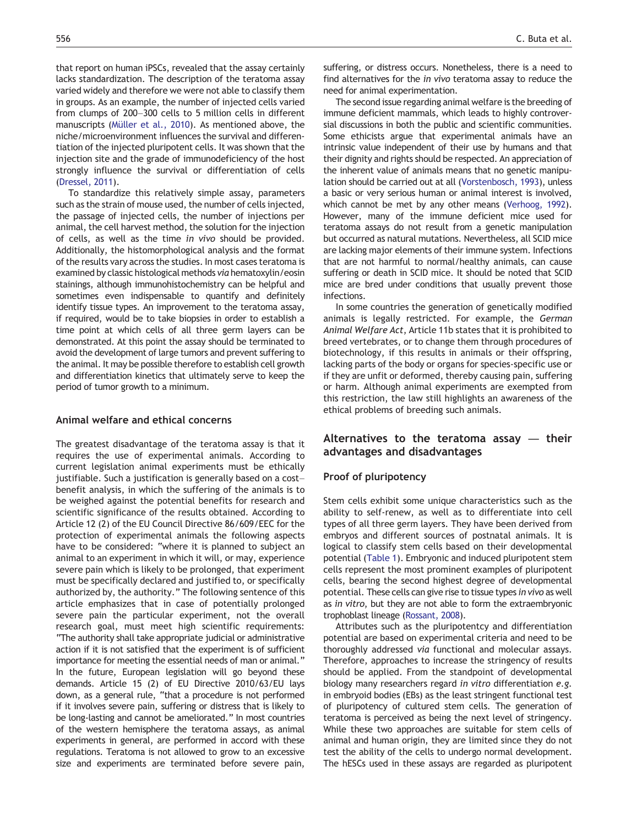that report on human iPSCs, revealed that the assay certainly lacks standardization. The description of the teratoma assay varied widely and therefore we were not able to classify them in groups. As an example, the number of injected cells varied from clumps of 200–300 cells to 5 million cells in different manuscripts [\(Müller et al., 2010](#page-10-0)). As mentioned above, the niche/microenvironment influences the survival and differentiation of the injected pluripotent cells. It was shown that the injection site and the grade of immunodeficiency of the host strongly influence the survival or differentiation of cells [\(Dressel, 2011\)](#page-9-0).

To standardize this relatively simple assay, parameters such as the strain of mouse used, the number of cells injected, the passage of injected cells, the number of injections per animal, the cell harvest method, the solution for the injection of cells, as well as the time in vivo should be provided. Additionally, the histomorphological analysis and the format of the results vary across the studies. In most cases teratoma is examined by classic histological methods via hematoxylin/eosin stainings, although immunohistochemistry can be helpful and sometimes even indispensable to quantify and definitely identify tissue types. An improvement to the teratoma assay, if required, would be to take biopsies in order to establish a time point at which cells of all three germ layers can be demonstrated. At this point the assay should be terminated to avoid the development of large tumors and prevent suffering to the animal. It may be possible therefore to establish cell growth and differentiation kinetics that ultimately serve to keep the period of tumor growth to a minimum.

#### Animal welfare and ethical concerns

The greatest disadvantage of the teratoma assay is that it requires the use of experimental animals. According to current legislation animal experiments must be ethically justifiable. Such a justification is generally based on a cost– benefit analysis, in which the suffering of the animals is to be weighed against the potential benefits for research and scientific significance of the results obtained. According to Article 12 (2) of the EU Council Directive 86/609/EEC for the protection of experimental animals the following aspects have to be considered: "where it is planned to subject an animal to an experiment in which it will, or may, experience severe pain which is likely to be prolonged, that experiment must be specifically declared and justified to, or specifically authorized by, the authority." The following sentence of this article emphasizes that in case of potentially prolonged severe pain the particular experiment, not the overall research goal, must meet high scientific requirements: "The authority shall take appropriate judicial or administrative action if it is not satisfied that the experiment is of sufficient importance for meeting the essential needs of man or animal." In the future, European legislation will go beyond these demands. Article 15 (2) of EU Directive 2010/63/EU lays down, as a general rule, "that a procedure is not performed if it involves severe pain, suffering or distress that is likely to be long-lasting and cannot be ameliorated." In most countries of the western hemisphere the teratoma assays, as animal experiments in general, are performed in accord with these regulations. Teratoma is not allowed to grow to an excessive size and experiments are terminated before severe pain, suffering, or distress occurs. Nonetheless, there is a need to find alternatives for the in vivo teratoma assay to reduce the need for animal experimentation.

The second issue regarding animal welfare is the breeding of immune deficient mammals, which leads to highly controversial discussions in both the public and scientific communities. Some ethicists argue that experimental animals have an intrinsic value independent of their use by humans and that their dignity and rights should be respected. An appreciation of the inherent value of animals means that no genetic manipulation should be carried out at all [\(Vorstenbosch, 1993\)](#page-10-0), unless a basic or very serious human or animal interest is involved, which cannot be met by any other means [\(Verhoog, 1992\)](#page-10-0). However, many of the immune deficient mice used for teratoma assays do not result from a genetic manipulation but occurred as natural mutations. Nevertheless, all SCID mice are lacking major elements of their immune system. Infections that are not harmful to normal/healthy animals, can cause suffering or death in SCID mice. It should be noted that SCID mice are bred under conditions that usually prevent those infections.

In some countries the generation of genetically modified animals is legally restricted. For example, the German Animal Welfare Act, Article 11b states that it is prohibited to breed vertebrates, or to change them through procedures of biotechnology, if this results in animals or their offspring, lacking parts of the body or organs for species-specific use or if they are unfit or deformed, thereby causing pain, suffering or harm. Although animal experiments are exempted from this restriction, the law still highlights an awareness of the ethical problems of breeding such animals.

# Alternatives to the teratoma assay — their advantages and disadvantages

## Proof of pluripotency

Stem cells exhibit some unique characteristics such as the ability to self-renew, as well as to differentiate into cell types of all three germ layers. They have been derived from embryos and different sources of postnatal animals. It is logical to classify stem cells based on their developmental potential [\(Table 1](#page-5-0)). Embryonic and induced pluripotent stem cells represent the most prominent examples of pluripotent cells, bearing the second highest degree of developmental potential. These cells can give rise to tissue types in vivo as well as in vitro, but they are not able to form the extraembryonic trophoblast lineage ([Rossant, 2008\)](#page-10-0).

Attributes such as the pluripotentcy and differentiation potential are based on experimental criteria and need to be thoroughly addressed via functional and molecular assays. Therefore, approaches to increase the stringency of results should be applied. From the standpoint of developmental biology many researchers regard in vitro differentiation e.g. in embryoid bodies (EBs) as the least stringent functional test of pluripotency of cultured stem cells. The generation of teratoma is perceived as being the next level of stringency. While these two approaches are suitable for stem cells of animal and human origin, they are limited since they do not test the ability of the cells to undergo normal development. The hESCs used in these assays are regarded as pluripotent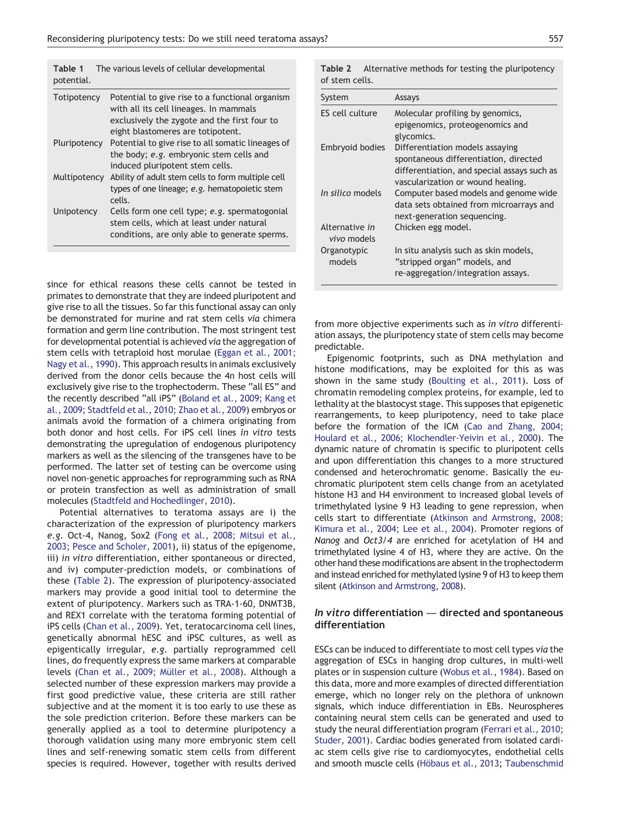<span id="page-5-0"></span>

| The various levels of cellular developmental<br>Table 1<br>potential. |                                                                                                                                                                                |  |
|-----------------------------------------------------------------------|--------------------------------------------------------------------------------------------------------------------------------------------------------------------------------|--|
| Totipotency                                                           | Potential to give rise to a functional organism<br>with all its cell lineages. In mammals<br>exclusively the zygote and the first four to<br>eight blastomeres are totipotent. |  |
| Pluripotency                                                          | Potential to give rise to all somatic lineages of<br>the body; e.g. embryonic stem cells and<br>induced pluripotent stem cells.                                                |  |
| Multipotency                                                          | Ability of adult stem cells to form multiple cell<br>types of one lineage; e.g. hematopoietic stem<br>cells.                                                                   |  |
| Unipotency                                                            | Cells form one cell type; e.g. spermatogonial<br>stem cells, which at least under natural<br>conditions, are only able to generate sperms.                                     |  |

since for ethical reasons these cells cannot be tested in primates to demonstrate that they are indeed pluripotent and give rise to all the tissues. So far this functional assay can only be demonstrated for murine and rat stem cells via chimera formation and germ line contribution. The most stringent test for developmental potential is achieved via the aggregation of stem cells with tetraploid host morulae ([Eggan et al., 2001;](#page-9-0) [Nagy et al., 1990\)](#page-9-0). This approach results in animals exclusively derived from the donor cells because the 4n host cells will exclusively give rise to the trophectoderm. These "all ES" and the recently described "all iPS" ([Boland et al., 2009; Kang et](#page-8-0) [al., 2009; Stadtfeld et al., 2010; Zhao et al., 2009](#page-8-0)) embryos or animals avoid the formation of a chimera originating from both donor and host cells. For iPS cell lines in vitro tests demonstrating the upregulation of endogenous pluripotency markers as well as the silencing of the transgenes have to be performed. The latter set of testing can be overcome using novel non-genetic approaches for reprogramming such as RNA or protein transfection as well as administration of small molecules [\(Stadtfeld and Hochedlinger, 2010](#page-10-0)).

Potential alternatives to teratoma assays are i) the characterization of the expression of pluripotency markers e.g. Oct-4, Nanog, Sox2 ([Fong et al., 2008; Mitsui et al.,](#page-9-0) [2003; Pesce and Scholer, 2001](#page-9-0)), ii) status of the epigenome, iii) in vitro differentiation, either spontaneous or directed, and iv) computer-prediction models, or combinations of these (Table 2). The expression of pluripotency-associated markers may provide a good initial tool to determine the extent of pluripotency. Markers such as TRA-1-60, DNMT3B, and REX1 correlate with the teratoma forming potential of iPS cells ([Chan et al., 2009](#page-9-0)). Yet, teratocarcinoma cell lines, genetically abnormal hESC and iPSC cultures, as well as epigentically irregular, e.g. partially reprogrammed cell lines, do frequently express the same markers at comparable levels [\(Chan et al., 2009; Müller et al., 2008\)](#page-9-0). Although a selected number of these expression markers may provide a first good predictive value, these criteria are still rather subjective and at the moment it is too early to use these as the sole prediction criterion. Before these markers can be generally applied as a tool to determine pluripotency a thorough validation using many more embryonic stem cell lines and self-renewing somatic stem cells from different species is required. However, together with results derived Table 2 Alternative methods for testing the pluripotency of stem cells.

| System                        | Assays                                                                                                                                                       |
|-------------------------------|--------------------------------------------------------------------------------------------------------------------------------------------------------------|
| ES cell culture               | Molecular profiling by genomics,<br>epigenomics, proteogenomics and<br>glycomics.                                                                            |
| Embryoid bodies               | Differentiation models assaying<br>spontaneous differentiation, directed<br>differentiation, and special assays such as<br>vascularization or wound healing. |
| In silico models              | Computer based models and genome wide<br>data sets obtained from microarrays and<br>next-generation sequencing.                                              |
| Alternative in<br>vivo models | Chicken egg model.                                                                                                                                           |
| Organotypic<br>models         | In situ analysis such as skin models,<br>"stripped organ" models, and<br>re-aggregation/integration assays.                                                  |

from more objective experiments such as in vitro differentiation assays, the pluripotency state of stem cells may become predictable.

Epigenomic footprints, such as DNA methylation and histone modifications, may be exploited for this as was shown in the same study ([Boulting et al., 2011\)](#page-8-0). Loss of chromatin remodeling complex proteins, for example, led to lethality at the blastocyst stage. This supposes that epigenetic rearrangements, to keep pluripotency, need to take place before the formation of the ICM [\(Cao and Zhang, 2004;](#page-9-0) [Houlard et al., 2006; Klochendler-Yeivin et al., 2000\)](#page-9-0). The dynamic nature of chromatin is specific to pluripotent cells and upon differentiation this changes to a more structured condensed and heterochromatic genome. Basically the euchromatic pluripotent stem cells change from an acetylated histone H3 and H4 environment to increased global levels of trimethylated lysine 9 H3 leading to gene repression, when cells start to differentiate ([Atkinson and Armstrong, 2008;](#page-8-0) [Kimura et al., 2004; Lee et al., 2004](#page-8-0)). Promoter regions of Nanog and Oct3/4 are enriched for acetylation of H4 and trimethylated lysine 4 of H3, where they are active. On the other hand these modifications are absent in the trophectoderm and instead enriched for methylated lysine 9 of H3 to keep them silent ([Atkinson and Armstrong, 2008\)](#page-8-0).

# In vitro differentiation — directed and spontaneous differentiation

ESCs can be induced to differentiate to most cell types via the aggregation of ESCs in hanging drop cultures, in multi-well plates or in suspension culture ([Wobus et al., 1984](#page-10-0)). Based on this data, more and more examples of directed differentiation emerge, which no longer rely on the plethora of unknown signals, which induce differentiation in EBs. Neurospheres containing neural stem cells can be generated and used to study the neural differentiation program [\(Ferrari et al., 2010;](#page-9-0) [Studer, 2001](#page-9-0)). Cardiac bodies generated from isolated cardiac stem cells give rise to cardiomyocytes, endothelial cells and smooth muscle cells ([Höbaus et al., 2013;](#page-9-0) [Taubenschmid](#page-10-0)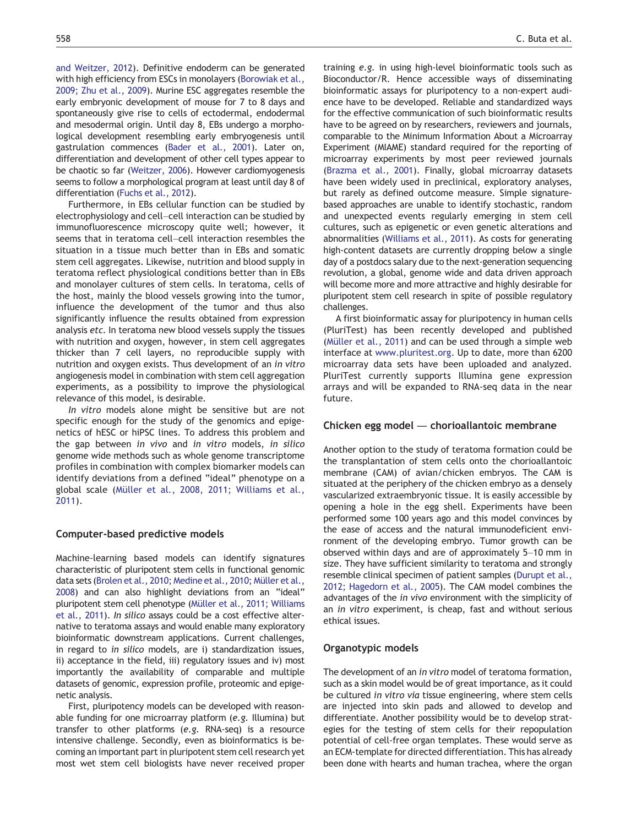[and Weitzer, 2012](#page-10-0)). Definitive endoderm can be generated with high efficiency from ESCs in monolayers [\(Borowiak et al.,](#page-8-0) [2009; Zhu et al., 2009\)](#page-8-0). Murine ESC aggregates resemble the early embryonic development of mouse for 7 to 8 days and spontaneously give rise to cells of ectodermal, endodermal and mesodermal origin. Until day 8, EBs undergo a morphological development resembling early embryogenesis until gastrulation commences ([Bader et al., 2001\)](#page-8-0). Later on, differentiation and development of other cell types appear to be chaotic so far ([Weitzer, 2006\)](#page-10-0). However cardiomyogenesis seems to follow a morphological program at least until day 8 of differentiation [\(Fuchs et al., 2012\)](#page-9-0).

Furthermore, in EBs cellular function can be studied by electrophysiology and cell–cell interaction can be studied by immunofluorescence microscopy quite well; however, it seems that in teratoma cell–cell interaction resembles the situation in a tissue much better than in EBs and somatic stem cell aggregates. Likewise, nutrition and blood supply in teratoma reflect physiological conditions better than in EBs and monolayer cultures of stem cells. In teratoma, cells of the host, mainly the blood vessels growing into the tumor, influence the development of the tumor and thus also significantly influence the results obtained from expression analysis etc. In teratoma new blood vessels supply the tissues with nutrition and oxygen, however, in stem cell aggregates thicker than 7 cell layers, no reproducible supply with nutrition and oxygen exists. Thus development of an in vitro angiogenesis model in combination with stem cell aggregation experiments, as a possibility to improve the physiological relevance of this model, is desirable.

In vitro models alone might be sensitive but are not specific enough for the study of the genomics and epigenetics of hESC or hiPSC lines. To address this problem and the gap between in vivo and in vitro models, in silico genome wide methods such as whole genome transcriptome profiles in combination with complex biomarker models can identify deviations from a defined "ideal" phenotype on a global scale [\(Müller et al., 2008, 2011; Williams et al.,](#page-10-0) [2011\)](#page-10-0).

## Computer-based predictive models

Machine-learning based models can identify signatures characteristic of pluripotent stem cells in functional genomic data sets ([Brolen et al., 2010; Medine et al., 2010; Müller et al.,](#page-9-0) [2008\)](#page-9-0) and can also highlight deviations from an "ideal" pluripotent stem cell phenotype ([Müller et al., 2011; Williams](#page-10-0) [et al., 2011\)](#page-10-0). In silico assays could be a cost effective alternative to teratoma assays and would enable many exploratory bioinformatic downstream applications. Current challenges, in regard to in silico models, are i) standardization issues, ii) acceptance in the field, iii) regulatory issues and iv) most importantly the availability of comparable and multiple datasets of genomic, expression profile, proteomic and epigenetic analysis.

First, pluripotency models can be developed with reasonable funding for one microarray platform (e.g. Illumina) but transfer to other platforms (e.g. RNA-seq) is a resource intensive challenge. Secondly, even as bioinformatics is becoming an important part in pluripotent stem cell research yet most wet stem cell biologists have never received proper

training e.g. in using high-level bioinformatic tools such as Bioconductor/R. Hence accessible ways of disseminating bioinformatic assays for pluripotency to a non-expert audience have to be developed. Reliable and standardized ways for the effective communication of such bioinformatic results have to be agreed on by researchers, reviewers and journals, comparable to the Minimum Information About a Microarray Experiment (MIAME) standard required for the reporting of microarray experiments by most peer reviewed journals [\(Brazma et al., 2001](#page-9-0)). Finally, global microarray datasets have been widely used in preclinical, exploratory analyses, but rarely as defined outcome measure. Simple signaturebased approaches are unable to identify stochastic, random and unexpected events regularly emerging in stem cell cultures, such as epigenetic or even genetic alterations and abnormalities [\(Williams et al., 2011](#page-10-0)). As costs for generating high-content datasets are currently dropping below a single day of a postdocs salary due to the next-generation sequencing revolution, a global, genome wide and data driven approach will become more and more attractive and highly desirable for pluripotent stem cell research in spite of possible regulatory challenges.

A first bioinformatic assay for pluripotency in human cells (PluriTest) has been recently developed and published [\(Müller et al., 2011\)](#page-10-0) and can be used through a simple web interface at [www.pluritest.org.](http://www.pluritest.org) Up to date, more than 6200 microarray data sets have been uploaded and analyzed. PluriTest currently supports Illumina gene expression arrays and will be expanded to RNA-seq data in the near future.

## Chicken egg model — chorioallantoic membrane

Another option to the study of teratoma formation could be the transplantation of stem cells onto the chorioallantoic membrane (CAM) of avian/chicken embryos. The CAM is situated at the periphery of the chicken embryo as a densely vascularized extraembryonic tissue. It is easily accessible by opening a hole in the egg shell. Experiments have been performed some 100 years ago and this model convinces by the ease of access and the natural immunodeficient environment of the developing embryo. Tumor growth can be observed within days and are of approximately 5–10 mm in size. They have sufficient similarity to teratoma and strongly resemble clinical specimen of patient samples ([Durupt et al.,](#page-9-0) [2012; Hagedorn et al., 2005](#page-9-0)). The CAM model combines the advantages of the in vivo environment with the simplicity of an in vitro experiment, is cheap, fast and without serious ethical issues.

#### Organotypic models

The development of an in vitro model of teratoma formation, such as a skin model would be of great importance, as it could be cultured in vitro via tissue engineering, where stem cells are injected into skin pads and allowed to develop and differentiate. Another possibility would be to develop strategies for the testing of stem cells for their repopulation potential of cell-free organ templates. These would serve as an ECM-template for directed differentiation. This has already been done with hearts and human trachea, where the organ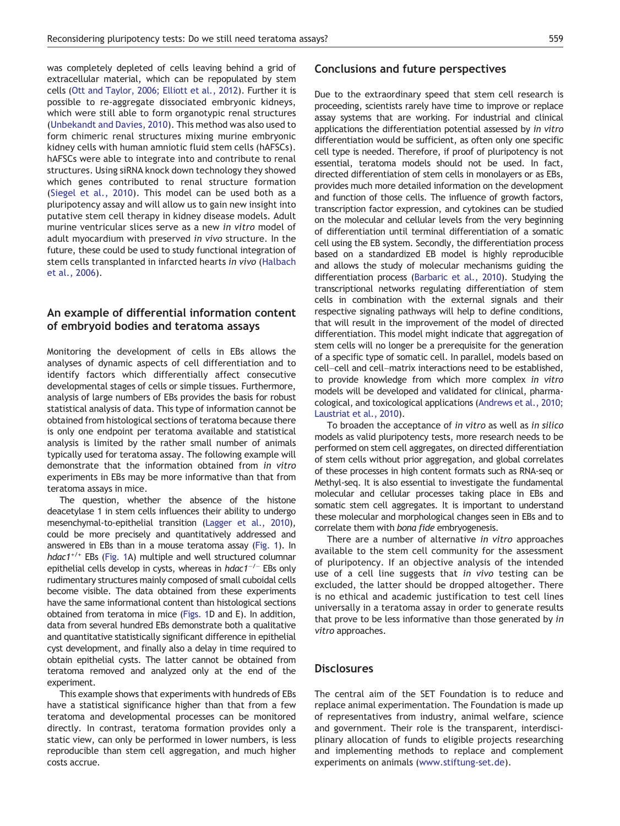was completely depleted of cells leaving behind a grid of extracellular material, which can be repopulated by stem cells [\(Ott and Taylor, 2006; Elliott et al., 2012\)](#page-10-0). Further it is possible to re-aggregate dissociated embryonic kidneys, which were still able to form organotypic renal structures ([Unbekandt and Davies, 2010](#page-10-0)). This method was also used to form chimeric renal structures mixing murine embryonic kidney cells with human amniotic fluid stem cells (hAFSCs). hAFSCs were able to integrate into and contribute to renal structures. Using siRNA knock down technology they showed which genes contributed to renal structure formation ([Siegel et al., 2010\)](#page-10-0). This model can be used both as a pluripotency assay and will allow us to gain new insight into putative stem cell therapy in kidney disease models. Adult murine ventricular slices serve as a new in vitro model of adult myocardium with preserved in vivo structure. In the future, these could be used to study functional integration of stem cells transplanted in infarcted hearts in vivo ([Halbach](#page-9-0) [et al., 2006](#page-9-0)).

# An example of differential information content of embryoid bodies and teratoma assays

Monitoring the development of cells in EBs allows the analyses of dynamic aspects of cell differentiation and to identify factors which differentially affect consecutive developmental stages of cells or simple tissues. Furthermore, analysis of large numbers of EBs provides the basis for robust statistical analysis of data. This type of information cannot be obtained from histological sections of teratoma because there is only one endpoint per teratoma available and statistical analysis is limited by the rather small number of animals typically used for teratoma assay. The following example will demonstrate that the information obtained from in vitro experiments in EBs may be more informative than that from teratoma assays in mice.

The question, whether the absence of the histone deacetylase 1 in stem cells influences their ability to undergo mesenchymal-to-epithelial transition [\(Lagger et al., 2010](#page-9-0)), could be more precisely and quantitatively addressed and answered in EBs than in a mouse teratoma assay [\(Fig. 1\)](#page-8-0). In  $hdac1^{+/+}$  EBs [\(Fig. 1A](#page-8-0)) multiple and well structured columnar epithelial cells develop in cysts, whereas in hdac1<sup>-/−</sup> EBs only rudimentary structures mainly composed of small cuboidal cells become visible. The data obtained from these experiments have the same informational content than histological sections obtained from teratoma in mice [\(Figs. 1](#page-8-0)D and E). In addition, data from several hundred EBs demonstrate both a qualitative and quantitative statistically significant difference in epithelial cyst development, and finally also a delay in time required to obtain epithelial cysts. The latter cannot be obtained from teratoma removed and analyzed only at the end of the experiment.

This example shows that experiments with hundreds of EBs have a statistical significance higher than that from a few teratoma and developmental processes can be monitored directly. In contrast, teratoma formation provides only a static view, can only be performed in lower numbers, is less reproducible than stem cell aggregation, and much higher costs accrue.

## Conclusions and future perspectives

Due to the extraordinary speed that stem cell research is proceeding, scientists rarely have time to improve or replace assay systems that are working. For industrial and clinical applications the differentiation potential assessed by in vitro differentiation would be sufficient, as often only one specific cell type is needed. Therefore, if proof of pluripotency is not essential, teratoma models should not be used. In fact, directed differentiation of stem cells in monolayers or as EBs, provides much more detailed information on the development and function of those cells. The influence of growth factors, transcription factor expression, and cytokines can be studied on the molecular and cellular levels from the very beginning of differentiation until terminal differentiation of a somatic cell using the EB system. Secondly, the differentiation process based on a standardized EB model is highly reproducible and allows the study of molecular mechanisms guiding the differentiation process [\(Barbaric et al., 2010\)](#page-8-0). Studying the transcriptional networks regulating differentiation of stem cells in combination with the external signals and their respective signaling pathways will help to define conditions, that will result in the improvement of the model of directed differentiation. This model might indicate that aggregation of stem cells will no longer be a prerequisite for the generation of a specific type of somatic cell. In parallel, models based on cell–cell and cell–matrix interactions need to be established, to provide knowledge from which more complex in vitro models will be developed and validated for clinical, pharmacological, and toxicological applications [\(Andrews et al., 2010;](#page-8-0) [Laustriat et al., 2010](#page-8-0)).

To broaden the acceptance of in vitro as well as in silico models as valid pluripotency tests, more research needs to be performed on stem cell aggregates, on directed differentiation of stem cells without prior aggregation, and global correlates of these processes in high content formats such as RNA-seq or Methyl-seq. It is also essential to investigate the fundamental molecular and cellular processes taking place in EBs and somatic stem cell aggregates. It is important to understand these molecular and morphological changes seen in EBs and to correlate them with bona fide embryogenesis.

There are a number of alternative in vitro approaches available to the stem cell community for the assessment of pluripotency. If an objective analysis of the intended use of a cell line suggests that in vivo testing can be excluded, the latter should be dropped altogether. There is no ethical and academic justification to test cell lines universally in a teratoma assay in order to generate results that prove to be less informative than those generated by in vitro approaches.

## **Disclosures**

The central aim of the SET Foundation is to reduce and replace animal experimentation. The Foundation is made up of representatives from industry, animal welfare, science and government. Their role is the transparent, interdisciplinary allocation of funds to eligible projects researching and implementing methods to replace and complement experiments on animals ([www.stiftung-set.de](http://www.stiftung-set.de)).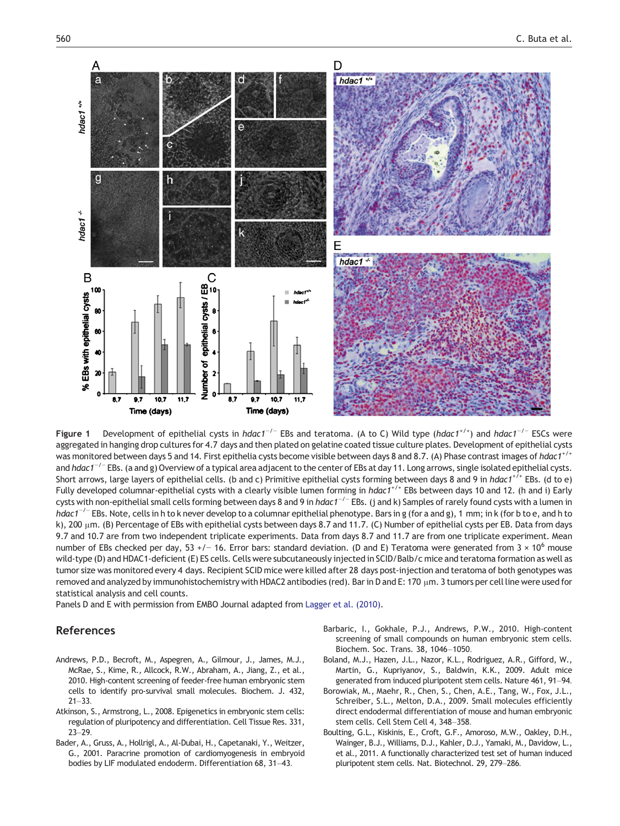<span id="page-8-0"></span>

Figure 1 Development of epithelial cysts in hdac1<sup>-/−</sup> EBs and teratoma. (A to C) Wild type (hdac1<sup>+/+</sup>) and hdac1<sup>-/-</sup> ESCs were aggregated in hanging drop cultures for 4.7 days and then plated on gelatine coated tissue culture plates. Development of epithelial cysts was monitored between days 5 and 14. First epithelia cysts become visible between days 8 and 8.7. (A) Phase contrast images of hdac1<sup>+/+</sup> and hdac1<sup>-/-</sup>EBs. (a and g) Overview of a typical area adjacent to the center of EBs at day 11. Long arrows, single isolated epithelial cysts. Short arrows, large layers of epithelial cells. (b and c) Primitive epithelial cysts forming between days 8 and 9 in hdac1<sup>+/+</sup> EBs. (d to e) Fully developed columnar-epithelial cysts with a clearly visible lumen forming in  $hdac1^{+/+}$  EBs between days 10 and 12. (h and i) Early cysts with non-epithelial small cells forming between days 8 and 9 in hdac1<sup>−/−</sup>EBs. (j and k) Samples of rarely found cysts with a lumen in hdac1<sup>-/-</sup> EBs. Note, cells in h to k never develop to a columnar epithelial phenotype. Bars in g (for a and g), 1 mm; in k (for b to e, and h to k), 200 μm. (B) Percentage of EBs with epithelial cysts between days 8.7 and 11.7. (C) Number of epithelial cysts per EB. Data from days 9.7 and 10.7 are from two independent triplicate experiments. Data from days 8.7 and 11.7 are from one triplicate experiment. Mean number of EBs checked per day, 53 +/− 16. Error bars: standard deviation. (D and E) Teratoma were generated from  $3 \times 10^6$  mouse wild-type (D) and HDAC1-deficient (E) ES cells. Cells were subcutaneously injected in SCID/Balb/c mice and teratoma formation as well as tumor size was monitored every 4 days. Recipient SCID mice were killed after 28 days post-injection and teratoma of both genotypes was removed and analyzed by immunohistochemistry with HDAC2 antibodies (red). Bar in D and E: 170 μm. 3 tumors per cell line were used for statistical analysis and cell counts.

Panels D and E with permission from EMBO Journal adapted from [Lagger et al. \(2010\)](#page-9-0).

# References

- Andrews, P.D., Becroft, M., Aspegren, A., Gilmour, J., James, M.J., McRae, S., Kime, R., Allcock, R.W., Abraham, A., Jiang, Z., et al., 2010. High-content screening of feeder-free human embryonic stem cells to identify pro-survival small molecules. Biochem. J. 432, 21–33.
- Atkinson, S., Armstrong, L., 2008. Epigenetics in embryonic stem cells: regulation of pluripotency and differentiation. Cell Tissue Res. 331, 23–29.
- Bader, A., Gruss, A., Hollrigl, A., Al-Dubai, H., Capetanaki, Y., Weitzer, G., 2001. Paracrine promotion of cardiomyogenesis in embryoid bodies by LIF modulated endoderm. Differentiation 68, 31–43.
- Barbaric, I., Gokhale, P.J., Andrews, P.W., 2010. High-content screening of small compounds on human embryonic stem cells. Biochem. Soc. Trans. 38, 1046–1050.
- Boland, M.J., Hazen, J.L., Nazor, K.L., Rodriguez, A.R., Gifford, W., Martin, G., Kupriyanov, S., Baldwin, K.K., 2009. Adult mice generated from induced pluripotent stem cells. Nature 461, 91–94.
- Borowiak, M., Maehr, R., Chen, S., Chen, A.E., Tang, W., Fox, J.L., Schreiber, S.L., Melton, D.A., 2009. Small molecules efficiently direct endodermal differentiation of mouse and human embryonic stem cells. Cell Stem Cell 4, 348–358.
- Boulting, G.L., Kiskinis, E., Croft, G.F., Amoroso, M.W., Oakley, D.H., Wainger, B.J., Williams, D.J., Kahler, D.J., Yamaki, M., Davidow, L., et al., 2011. A functionally characterized test set of human induced pluripotent stem cells. Nat. Biotechnol. 29, 279–286.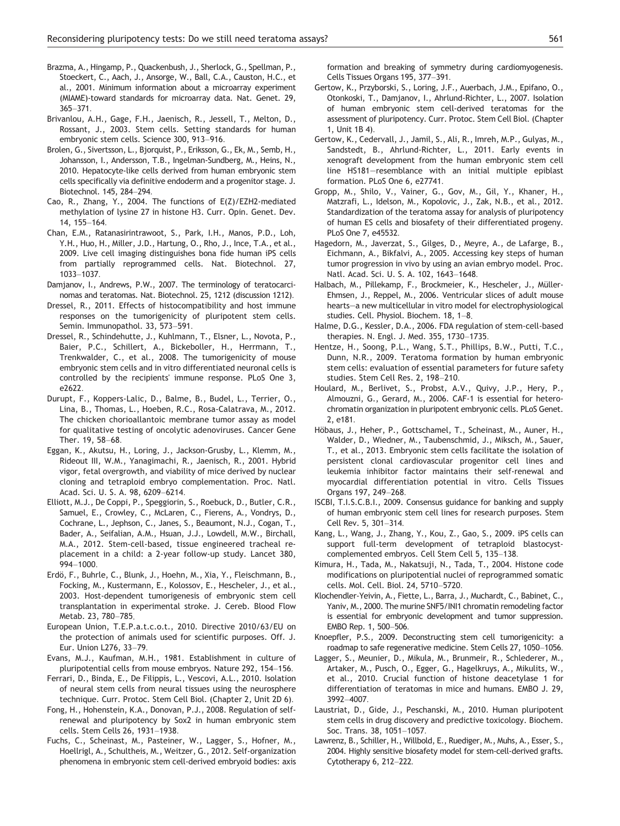- <span id="page-9-0"></span>Brazma, A., Hingamp, P., Quackenbush, J., Sherlock, G., Spellman, P., Stoeckert, C., Aach, J., Ansorge, W., Ball, C.A., Causton, H.C., et al., 2001. Minimum information about a microarray experiment (MIAME)-toward standards for microarray data. Nat. Genet. 29, 365–371.
- Brivanlou, A.H., Gage, F.H., Jaenisch, R., Jessell, T., Melton, D., Rossant, J., 2003. Stem cells. Setting standards for human embryonic stem cells. Science 300, 913–916.
- Brolen, G., Sivertsson, L., Bjorquist, P., Eriksson, G., Ek, M., Semb, H., Johansson, I., Andersson, T.B., Ingelman-Sundberg, M., Heins, N., 2010. Hepatocyte-like cells derived from human embryonic stem cells specifically via definitive endoderm and a progenitor stage. J. Biotechnol. 145, 284–294.
- Cao, R., Zhang, Y., 2004. The functions of E(Z)/EZH2-mediated methylation of lysine 27 in histone H3. Curr. Opin. Genet. Dev. 14, 155–164.
- Chan, E.M., Ratanasirintrawoot, S., Park, I.H., Manos, P.D., Loh, Y.H., Huo, H., Miller, J.D., Hartung, O., Rho, J., Ince, T.A., et al., 2009. Live cell imaging distinguishes bona fide human iPS cells from partially reprogrammed cells. Nat. Biotechnol. 27, 1033–1037.
- Damjanov, I., Andrews, P.W., 2007. The terminology of teratocarcinomas and teratomas. Nat. Biotechnol. 25, 1212 (discussion 1212).
- Dressel, R., 2011. Effects of histocompatibility and host immune responses on the tumorigenicity of pluripotent stem cells. Semin. Immunopathol. 33, 573–591.
- Dressel, R., Schindehutte, J., Kuhlmann, T., Elsner, L., Novota, P., Baier, P.C., Schillert, A., Bickeboller, H., Herrmann, T., Trenkwalder, C., et al., 2008. The tumorigenicity of mouse embryonic stem cells and in vitro differentiated neuronal cells is controlled by the recipients' immune response. PLoS One 3, e2622.
- Durupt, F., Koppers-Lalic, D., Balme, B., Budel, L., Terrier, O., Lina, B., Thomas, L., Hoeben, R.C., Rosa-Calatrava, M., 2012. The chicken chorioallantoic membrane tumor assay as model for qualitative testing of oncolytic adenoviruses. Cancer Gene Ther. 19, 58–68.
- Eggan, K., Akutsu, H., Loring, J., Jackson-Grusby, L., Klemm, M., Rideout III, W.M., Yanagimachi, R., Jaenisch, R., 2001. Hybrid vigor, fetal overgrowth, and viability of mice derived by nuclear cloning and tetraploid embryo complementation. Proc. Natl. Acad. Sci. U. S. A. 98, 6209–6214.
- Elliott, M.J., De Coppi, P., Speggiorin, S., Roebuck, D., Butler, C.R., Samuel, E., Crowley, C., McLaren, C., Fierens, A., Vondrys, D., Cochrane, L., Jephson, C., Janes, S., Beaumont, N.J., Cogan, T., Bader, A., Seifalian, A.M., Hsuan, J.J., Lowdell, M.W., Birchall, M.A., 2012. Stem-cell-based, tissue engineered tracheal replacement in a child: a 2-year follow-up study. Lancet 380, 994–1000.
- Erdö, F., Buhrle, C., Blunk, J., Hoehn, M., Xia, Y., Fleischmann, B., Focking, M., Kustermann, E., Kolossov, E., Hescheler, J., et al., 2003. Host-dependent tumorigenesis of embryonic stem cell transplantation in experimental stroke. J. Cereb. Blood Flow Metab. 23, 780–785.
- European Union, T.E.P.a.t.c.o.t., 2010. Directive 2010/63/EU on the protection of animals used for scientific purposes. Off. J. Eur. Union L276, 33–79.
- Evans, M.J., Kaufman, M.H., 1981. Establishment in culture of pluripotential cells from mouse embryos. Nature 292, 154–156.
- Ferrari, D., Binda, E., De Filippis, L., Vescovi, A.L., 2010. Isolation of neural stem cells from neural tissues using the neurosphere technique. Curr. Protoc. Stem Cell Biol. (Chapter 2, Unit 2D 6).
- Fong, H., Hohenstein, K.A., Donovan, P.J., 2008. Regulation of selfrenewal and pluripotency by Sox2 in human embryonic stem cells. Stem Cells 26, 1931–1938.
- Fuchs, C., Scheinast, M., Pasteiner, W., Lagger, S., Hofner, M., Hoellrigl, A., Schultheis, M., Weitzer, G., 2012. Self-organization phenomena in embryonic stem cell-derived embryoid bodies: axis

formation and breaking of symmetry during cardiomyogenesis. Cells Tissues Organs 195, 377–391.

- Gertow, K., Przyborski, S., Loring, J.F., Auerbach, J.M., Epifano, O., Otonkoski, T., Damjanov, I., Ahrlund-Richter, L., 2007. Isolation of human embryonic stem cell-derived teratomas for the assessment of pluripotency. Curr. Protoc. Stem Cell Biol. (Chapter 1, Unit 1B 4).
- Gertow, K., Cedervall, J., Jamil, S., Ali, R., Imreh, M.P., Gulyas, M., Sandstedt, B., Ahrlund-Richter, L., 2011. Early events in xenograft development from the human embryonic stem cell line HS181—resemblance with an initial multiple epiblast formation. PLoS One 6, e27741.
- Gropp, M., Shilo, V., Vainer, G., Gov, M., Gil, Y., Khaner, H., Matzrafi, L., Idelson, M., Kopolovic, J., Zak, N.B., et al., 2012. Standardization of the teratoma assay for analysis of pluripotency of human ES cells and biosafety of their differentiated progeny. PLoS One 7, e45532.
- Hagedorn, M., Javerzat, S., Gilges, D., Meyre, A., de Lafarge, B., Eichmann, A., Bikfalvi, A., 2005. Accessing key steps of human tumor progression in vivo by using an avian embryo model. Proc. Natl. Acad. Sci. U. S. A. 102, 1643–1648.
- Halbach, M., Pillekamp, F., Brockmeier, K., Hescheler, J., Müller-Ehmsen, J., Reppel, M., 2006. Ventricular slices of adult mouse hearts—a new multicellular in vitro model for electrophysiological studies. Cell. Physiol. Biochem. 18, 1–8.
- Halme, D.G., Kessler, D.A., 2006. FDA regulation of stem-cell-based therapies. N. Engl. J. Med. 355, 1730–1735.
- Hentze, H., Soong, P.L., Wang, S.T., Phillips, B.W., Putti, T.C., Dunn, N.R., 2009. Teratoma formation by human embryonic stem cells: evaluation of essential parameters for future safety studies. Stem Cell Res. 2, 198–210.
- Houlard, M., Berlivet, S., Probst, A.V., Quivy, J.P., Hery, P., Almouzni, G., Gerard, M., 2006. CAF-1 is essential for heterochromatin organization in pluripotent embryonic cells. PLoS Genet. 2, e181.
- Höbaus, J., Heher, P., Gottschamel, T., Scheinast, M., Auner, H., Walder, D., Wiedner, M., Taubenschmid, J., Miksch, M., Sauer, T., et al., 2013. Embryonic stem cells facilitate the isolation of persistent clonal cardiovascular progenitor cell lines and leukemia inhibitor factor maintains their self-renewal and myocardial differentiation potential in vitro. Cells Tissues Organs 197, 249–268.
- ISCBI, T.I.S.C.B.I., 2009. Consensus guidance for banking and supply of human embryonic stem cell lines for research purposes. Stem Cell Rev. 5, 301–314.
- Kang, L., Wang, J., Zhang, Y., Kou, Z., Gao, S., 2009. iPS cells can support full-term development of tetraploid blastocystcomplemented embryos. Cell Stem Cell 5, 135–138.
- Kimura, H., Tada, M., Nakatsuji, N., Tada, T., 2004. Histone code modifications on pluripotential nuclei of reprogrammed somatic cells. Mol. Cell. Biol. 24, 5710–5720.
- Klochendler-Yeivin, A., Fiette, L., Barra, J., Muchardt, C., Babinet, C., Yaniv, M., 2000. The murine SNF5/INI1 chromatin remodeling factor is essential for embryonic development and tumor suppression. EMBO Rep. 1, 500–506.
- Knoepfler, P.S., 2009. Deconstructing stem cell tumorigenicity: a roadmap to safe regenerative medicine. Stem Cells 27, 1050–1056.
- Lagger, S., Meunier, D., Mikula, M., Brunmeir, R., Schlederer, M., Artaker, M., Pusch, O., Egger, G., Hagelkruys, A., Mikulits, W., et al., 2010. Crucial function of histone deacetylase 1 for differentiation of teratomas in mice and humans. EMBO J. 29, 3992–4007.
- Laustriat, D., Gide, J., Peschanski, M., 2010. Human pluripotent stem cells in drug discovery and predictive toxicology. Biochem. Soc. Trans. 38, 1051–1057.
- Lawrenz, B., Schiller, H., Willbold, E., Ruediger, M., Muhs, A., Esser, S., 2004. Highly sensitive biosafety model for stem-cell-derived grafts. Cytotherapy 6, 212–222.